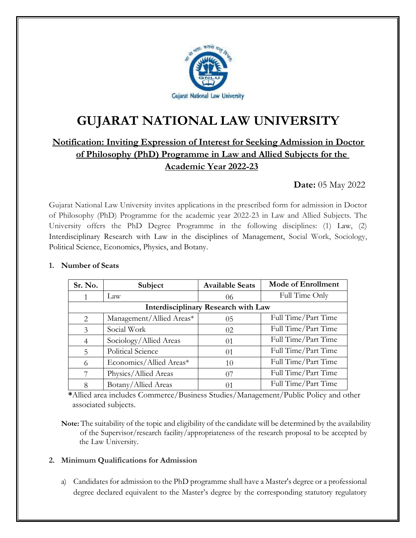

# **GUJARAT NATIONAL LAW UNIVERSITY**

# **Notification: Inviting Expression of Interest for Seeking Admission in Doctor of Philosophy (PhD) Programme in Law and Allied Subjects for the Academic Year 2022-23**

# **Date:** 05 May 2022

Gujarat National Law University invites applications in the prescribed form for admission in Doctor of Philosophy (PhD) Programme for the academic year 2022-23 in Law and Allied Subjects. The University offers the PhD Degree Programme in the following disciplines: (1) Law, (2) Interdisciplinary Research with Law in the disciplines of Management, Social Work, Sociology, Political Science, Economics, Physics, and Botany.

#### **1. Number of Seats**

| Sr. No.                                    | Subject                  | <b>Available Seats</b> | Mode of Enrollment  |  |  |  |
|--------------------------------------------|--------------------------|------------------------|---------------------|--|--|--|
|                                            | Law                      | 06                     | Full Time Only      |  |  |  |
| <b>Interdisciplinary Research with Law</b> |                          |                        |                     |  |  |  |
| 2                                          | Management/Allied Areas* | 0 <sub>5</sub>         | Full Time/Part Time |  |  |  |
| 3                                          | Social Work              | 02                     | Full Time/Part Time |  |  |  |
| $\overline{4}$                             | Sociology/Allied Areas   | 01                     | Full Time/Part Time |  |  |  |
| 5                                          | Political Science        | $\Omega$ 1             | Full Time/Part Time |  |  |  |
| 6                                          | Economics/Allied Areas*  | 10                     | Full Time/Part Time |  |  |  |
| 7                                          | Physics/Allied Areas     | 07                     | Full Time/Part Time |  |  |  |
| 8                                          | Botany/Allied Areas      | 01                     | Full Time/Part Time |  |  |  |

 **\***Allied area includes Commerce/Business Studies/Management/Public Policy and other associated subjects.

**Note:** The suitability of the topic and eligibility of the candidate will be determined by the availability of the Supervisor/research facility/appropriateness of the research proposal to be accepted by the Law University.

#### **2. Minimum Qualifications for Admission**

a) Candidates for admission to the PhD programme shall have a Master's degree or a professional degree declared equivalent to the Master's degree by the corresponding statutory regulatory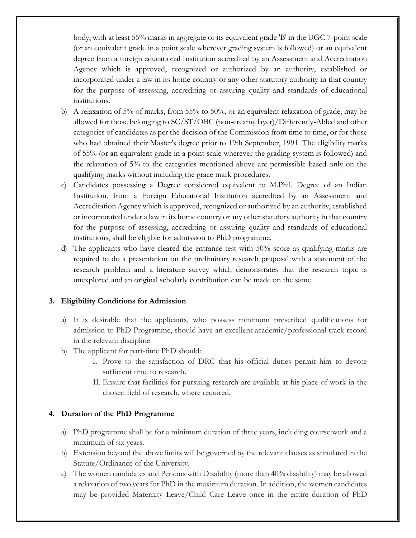body, with at least 55% marks in aggregate or its equivalent grade 'B' in the UGC 7-point scale (or an equivalent grade in a point scale wherever grading system is followed) or an equivalent degree from a foreign educational Institution accredited by an Assessment and Accreditation Agency which is approved, recognized or authorized by an authority, established or incorporated under a law in its home country or any other statutory authority in that country for the purpose of assessing, accrediting or assuring quality and standards of educational institutions.

- b) A relaxation of 5% of marks, from 55% to 50%, or an equivalent relaxation of grade, may be allowed for those belonging to SC/ST/OBC (non-creamy layer)/Differently-Abled and other categories of candidates as per the decision of the Commission from time to time, or for those who had obtained their Master's degree prior to 19th September, 1991. The eligibility marks of 55% (or an equivalent grade in a point scale wherever the grading system is followed) and the relaxation of 5% to the categories mentioned above are permissible based only on the qualifying marks without including the grace mark procedures.
- c) Candidates possessing a Degree considered equivalent to M.Phil. Degree of an Indian Institution, from a Foreign Educational Institution accredited by an Assessment and Accreditation Agency which is approved, recognized or authorized by an authority, established or incorporated under a law in its home country or any other statutory authority in that country for the purpose of assessing, accrediting or assuring quality and standards of educational institutions, shall be eligible for admission to PhD programme.
- d) The applicants who have cleared the entrance test with 50% score as qualifying marks are required to do a presentation on the preliminary research proposal with a statement of the research problem and a literature survey which demonstrates that the research topic is unexplored and an original scholarly contribution can be made on the same.

#### **3. Eligibility Conditions for Admission**

- a) It is desirable that the applicants, who possess minimum prescribed qualifications for admission to PhD Programme, should have an excellent academic/professional track record in the relevant discipline.
- b) The applicant for part-time PhD should:
	- I. Prove to the satisfaction of DRC that his official duties permit him to devote sufficient time to research.
	- II. Ensure that facilities for pursuing research are available at his place of work in the chosen field of research, where required.

#### **4. Duration of the PhD Programme**

- a) PhD programme shall be for a minimum duration of three years, including course work and a maximum of six years.
- b) Extension beyond the above limits will be governed by the relevant clauses as stipulated in the Statute/Ordinance of the University.
- c) The women candidates and Persons with Disability (more than 40% disability) may be allowed a relaxation of two years for PhD in the maximum duration. In addition, the women candidates may be provided Maternity Leave/Child Care Leave once in the entire duration of PhD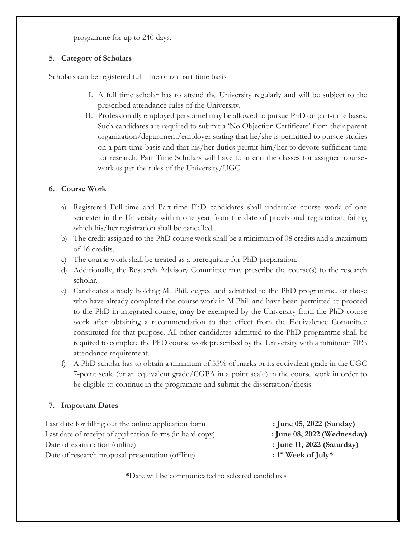programme for up to 240 days.

#### **5. Category of Scholars**

Scholars can be registered full time or on part-time basis

- I. A full time scholar has to attend the University regularly and will be subject to the prescribed attendance rules of the University.
- II. Professionally employed personnel may be allowed to pursue PhD on part-time bases. Such candidates are required to submit a 'No Objection Certificate' from their parent organization/department/employer stating that he/she is permitted to pursue studies on a part-time basis and that his/her duties permit him/her to devote sufficient time for research. Part Time Scholars will have to attend the classes for assigned coursework as per the rules of the University/UGC.

# **6. Course Work**

- a) Registered Full-time and Part-time PhD candidates shall undertake course work of one semester in the University within one year from the date of provisional registration, failing which his/her registration shall be cancelled.
- b) The credit assigned to the PhD course work shall be a minimum of 08 credits and a maximum of 16 credits.
- c) The course work shall be treated as a prerequisite for PhD preparation.
- d) Additionally, the Research Advisory Committee may prescribe the course(s) to the research scholar.
- e) Candidates already holding M. Phil. degree and admitted to the PhD programme, or those who have already completed the course work in M.Phil. and have been permitted to proceed to the PhD in integrated course, **may be** exempted by the University from the PhD course work after obtaining a recommendation to that effect from the Equivalence Committee constituted for that purpose. All other candidates admitted to the PhD programme shall be required to complete the PhD course work prescribed by the University with a minimum 70% attendance requirement.
- f) A PhD scholar has to obtain a minimum of 55% of marks or its equivalent grade in the UGC 7-point scale (or an equivalent grade/CGPA in a point scale) in the course work in order to be eligible to continue in the programme and submit the dissertation/thesis.

# **7. Important Dates**

Last date for filling out the online application form **: June 05, 2022 (Sunday)** Last date of receipt of application forms (in hard copy) **: June 08, 2022 (Wednesday)** Date of examination (online) **: June 11, 2022 (Saturday)** Date of research proposal presentation (offline)

**st Week of July\***

**\***Date will be communicated to selected candidates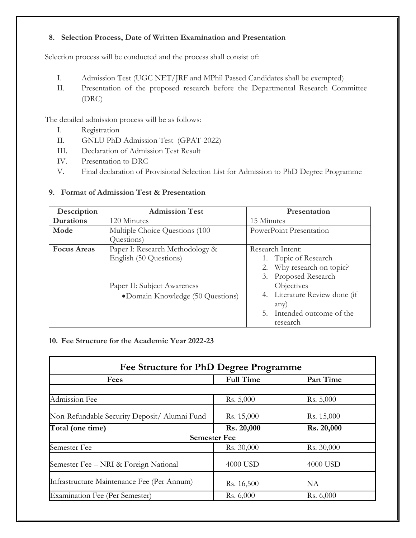# **8. Selection Process, Date of Written Examination and Presentation**

Selection process will be conducted and the process shall consist of:

- I. Admission Test (UGC NET/JRF and MPhil Passed Candidates shall be exempted)
- II. Presentation of the proposed research before the Departmental Research Committee (DRC)

The detailed admission process will be as follows:

- I. Registration
- II. GNLU PhD Admission Test (GPAT-2022)
- III. Declaration of Admission Test Result
- IV. Presentation to DRC
- V. Final declaration of Provisional Selection List for Admission to PhD Degree Programme

| Description        | <b>Admission Test</b>             | Presentation                  |  |
|--------------------|-----------------------------------|-------------------------------|--|
| Durations          | 120 Minutes                       | 15 Minutes                    |  |
| Mode               | Multiple Choice Questions (100)   | PowerPoint Presentation       |  |
|                    | Questions)                        |                               |  |
| <b>Focus Areas</b> | Paper I: Research Methodology &   | Research Intent:              |  |
|                    | English (50 Questions)            | 1. Topic of Research          |  |
|                    |                                   | 2. Why research on topic?     |  |
|                    |                                   | Proposed Research<br>3.       |  |
|                    | Paper II: Subject Awareness       | Objectives                    |  |
|                    | • Domain Knowledge (50 Questions) | 4. Literature Review done (if |  |
|                    |                                   | any)                          |  |
|                    |                                   | 5. Intended outcome of the    |  |
|                    |                                   | research                      |  |

# **9. Format of Admission Test & Presentation**

# **10. Fee Structure for the Academic Year 2022-23**

| Fee Structure for PhD Degree Programme       |                  |            |
|----------------------------------------------|------------------|------------|
| Fees                                         | <b>Full Time</b> | Part Time  |
| Admission Fee                                | Rs. 5,000        | Rs. 5,000  |
| Non-Refundable Security Deposit/ Alumni Fund | Rs. 15,000       | Rs. 15,000 |
| Total (one time)                             | Rs. 20,000       | Rs. 20,000 |
| <b>Semester Fee</b>                          |                  |            |
| Semester Fee                                 | Rs. 30,000       | Rs. 30,000 |
| Semester Fee – NRI & Foreign National        | 4000 USD         | 4000 USD   |
| Infrastructure Maintenance Fee (Per Annum)   | Rs. 16,500       | <b>NA</b>  |
| <b>Examination Fee (Per Semester)</b>        | Rs. 6,000        | Rs. 6,000  |